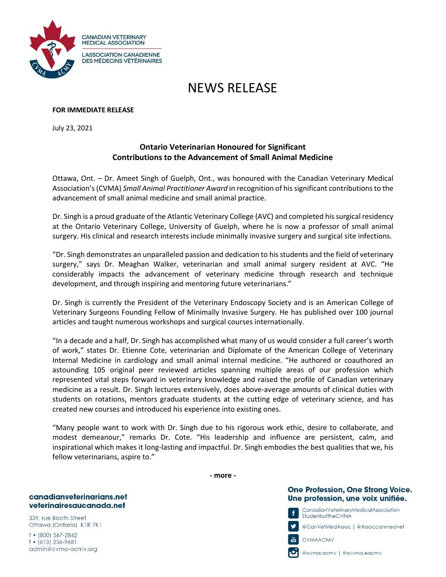

# NEWS RELEASE

# **FOR IMMEDIATE RELEASE**

July 23, 2021

# **Ontario Veterinarian Honoured for Significant Contributions to the Advancement of Small Animal Medicine**

Ottawa, Ont. – Dr. Ameet Singh of Guelph, Ont., was honoured with the Canadian Veterinary Medical Association's(CVMA) *Small Animal Practitioner Award* in recognition of hissignificant contributions to the advancement of small animal medicine and small animal practice.

Dr. Singh is a proud graduate of the Atlantic Veterinary College (AVC) and completed his surgical residency at the Ontario Veterinary College, University of Guelph, where he is now a professor of small animal surgery. His clinical and research interests include minimally invasive surgery and surgical site infections.

"Dr. Singh demonstrates an unparalleled passion and dedication to his students and the field of veterinary surgery," says Dr. Meaghan Walker, veterinarian and small animal surgery resident at AVC. "He considerably impacts the advancement of veterinary medicine through research and technique development, and through inspiring and mentoring future veterinarians."

Dr. Singh is currently the President of the Veterinary Endoscopy Society and is an American College of Veterinary Surgeons Founding Fellow of Minimally Invasive Surgery. He has published over 100 journal articles and taught numerous workshops and surgical courses internationally.

"In a decade and a half, Dr. Singh has accomplished what many of us would consider a full career's worth of work," states Dr. Etienne Cote, veterinarian and Diplomate of the American College of Veterinary Internal Medicine in cardiology and small animal internal medicine. "He authored or coauthored an astounding 105 original peer reviewed articles spanning multiple areas of our profession which represented vital steps forward in veterinary knowledge and raised the profile of Canadian veterinary medicine as a result. Dr. Singh lectures extensively, does above-average amounts of clinical duties with students on rotations, mentors graduate students at the cutting edge of veterinary science, and has created new courses and introduced his experience into existing ones.

"Many people want to work with Dr. Singh due to his rigorous work ethic, desire to collaborate, and modest demeanour," remarks Dr. Cote. "His leadership and influence are persistent, calm, and inspirational which makes it long-lasting and impactful. Dr. Singh embodies the best qualities that we, his fellow veterinarians, aspire to."

**- more -**

# One Profession, One Strong Voice. Une profession, une voix unifiée.

CanadianVeterinaryMedicalAssociation StudentsoftheCVMA

@CanVełMedAssoc | @Assoccanmedveł

CVMAACMV 農

f

@cvma.acmv | @scvma.eacmv

# canadianveterinarians.net veterinairesaucanada.net

339, rue Booth Street Ottawa (Ontario) K1R 7K1

 $+$  (800) 567-2862  $f$  • (613) 236-9681 admin@cvma-acmv.org